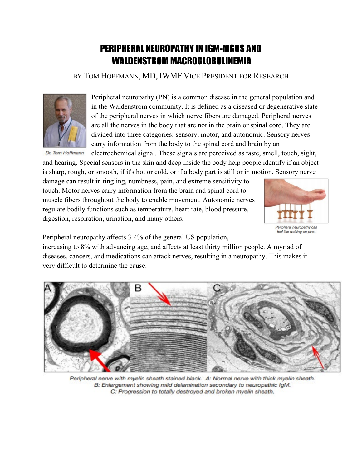# PERIPHERAL NEUROPATHY IN IGM-MGUS AND WALDENSTROM MACROGLOBULINEMIA

# BY TOM HOFFMANN, MD, IWMF VICE PRESIDENT FOR RESEARCH



Peripheral neuropathy (PN) is a common disease in the general population and in the Waldenstrom community. It is defined as a diseased or degenerative state of the peripheral nerves in which nerve fibers are damaged. Peripheral nerves are all the nerves in the body that are not in the brain or spinal cord. They are divided into three categories: sensory, motor, and autonomic. Sensory nerves carry information from the body to the spinal cord and brain by an

Dr. Tom Hoffmann

electrochemical signal. These signals are perceived as taste, smell, touch, sight, and hearing. Special sensors in the skin and deep inside the body help people identify if an object is sharp, rough, or smooth, if it's hot or cold, or if a body part is still or in motion. Sensory nerve

damage can result in tingling, numbness, pain, and extreme sensitivity to touch. Motor nerves carry information from the brain and spinal cord to muscle fibers throughout the body to enable movement. Autonomic nerves regulate bodily functions such as temperature, heart rate, blood pressure, digestion, respiration, urination, and many others.



Peripheral neuropathy affects 3-4% of the general US population,

increasing to 8% with advancing age, and affects at least thirty million people. A myriad of diseases, cancers, and medications can attack nerves, resulting in a neuropathy. This makes it very difficult to determine the cause.



Peripheral nerve with myelin sheath stained black. A: Normal nerve with thick myelin sheath. B: Enlargement showing mild delamination secondary to neuropathic IgM. C: Progression to totally destroyed and broken myelin sheath.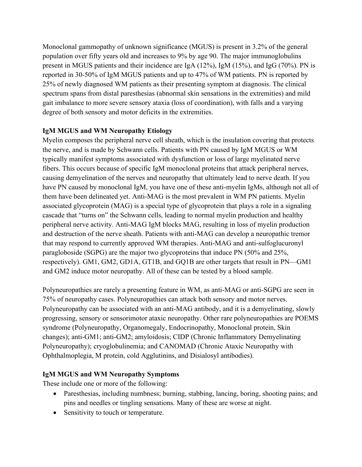Monoclonal gammopathy of unknown significance (MGUS) is present in 3.2% of the general population over fifty years old and increases to 9% by age 90. The major immunoglobulins present in MGUS patients and their incidence are IgA (12%), IgM (15%), and IgG (70%). PN is reported in 30-50% of IgM MGUS patients and up to 47% of WM patients. PN is reported by 25% of newly diagnosed WM patients as their presenting symptom at diagnosis. The clinical spectrum spans from distal paresthesias (abnormal skin sensations in the extremities) and mild gait imbalance to more severe sensory ataxia (loss of coordination), with falls and a varying degree of both sensory and motor deficits in the extremities.

## **IgM MGUS and WM Neuropathy Etiology**

Myelin composes the peripheral nerve cell sheath, which is the insulation covering that protects the nerve, and is made by Schwann cells. Patients with PN caused by IgM MGUS or WM typically manifest symptoms associated with dysfunction or loss of large myelinated nerve fibers. This occurs because of specific IgM monoclonal proteins that attack peripheral nerves, causing demyelination of the nerves and neuropathy that ultimately lead to nerve death. If you have PN caused by monoclonal IgM, you have one of these anti-myelin IgMs, although not all of them have been delineated yet. Anti-MAG is the most prevalent in WM PN patients. Myelin associated glycoprotein (MAG) is a special type of glycoprotein that plays a role in a signaling cascade that "turns on" the Schwann cells, leading to normal myelin production and healthy peripheral nerve activity. Anti-MAG IgM blocks MAG, resulting in loss of myelin production and destruction of the nerve sheath. Patients with anti-MAG can develop a neuropathic tremor that may respond to currently approved WM therapies. Anti-MAG and anti-sulfoglucuronyl paragloboside (SGPG) are the major two glycoproteins that induce PN (50% and 25%, respectively). GM1, GM2, GD1A, GT1B, and GQ1B are other targets that result in PN—GM1 and GM2 induce motor neuropathy. All of these can be tested by a blood sample.

Polyneuropathies are rarely a presenting feature in WM, as anti-MAG or anti-SGPG are seen in 75% of neuropathy cases. Polyneuropathies can attack both sensory and motor nerves. Polyneuropathy can be associated with an anti-MAG antibody, and it is a demyelinating, slowly progressing, sensory or sensorimotor ataxic neuropathy. Other rare polyneuropathies are POEMS syndrome (Polyneuropathy, Organomegaly, Endocrinopathy, Monoclonal protein, Skin changes); anti-GM1; anti-GM2; amyloidosis; CIDP (Chronic Inflammatory Demyelinating Polyneuropathy); cryoglobulinemia; and CANOMAD (Chronic Ataxic Neuropathy with Ophthalmoplegia, M protein, cold Agglutinins, and Disialosyl antibodies).

## **IgM MGUS and WM Neuropathy Symptoms**

These include one or more of the following:

- Paresthesias, including numbness; burning, stabbing, lancing, boring, shooting pains; and pins and needles or tingling sensations. Many of these are worse at night.
- Sensitivity to touch or temperature.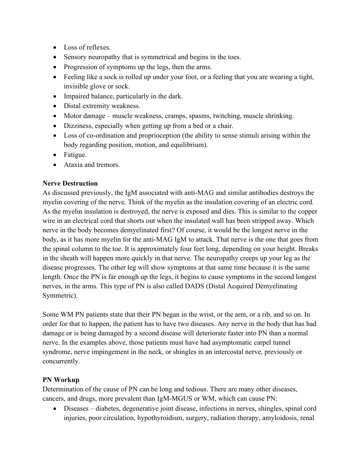- Loss of reflexes.
- Sensory neuropathy that is symmetrical and begins in the toes.
- Progression of symptoms up the legs, then the arms.
- Feeling like a sock is rolled up under your foot, or a feeling that you are wearing a tight, invisible glove or sock.
- Impaired balance, particularly in the dark.
- Distal extremity weakness.
- Motor damage muscle weakness, cramps, spasms, twitching, muscle shrinking.
- Dizziness, especially when getting up from a bed or a chair.
- Loss of co-ordination and proprioception (the ability to sense stimuli arising within the body regarding position, motion, and equilibrium).
- Fatigue.
- Ataxia and tremors.

## **Nerve Destruction**

As discussed previously, the IgM associated with anti-MAG and similar antibodies destroys the myelin covering of the nerve. Think of the myelin as the insulation covering of an electric cord. As the myelin insulation is destroyed, the nerve is exposed and dies. This is similar to the copper wire in an electrical cord that shorts out when the insulated wall has been stripped away. Which nerve in the body becomes demyelinated first? Of course, it would be the longest nerve in the body, as it has more myelin for the anti-MAG IgM to attack. That nerve is the one that goes from the spinal column to the toe. It is approximately four feet long, depending on your height. Breaks in the sheath will happen more quickly in that nerve. The neuropathy creeps up your leg as the disease progresses. The other leg will show symptoms at that same time because it is the same length. Once the PN is far enough up the legs, it begins to cause symptoms in the second longest nerves, in the arms. This type of PN is also called DADS (Distal Acquired Demyelinating Symmetric).

Some WM PN patients state that their PN began in the wrist, or the arm, or a rib, and so on. In order for that to happen, the patient has to have two diseases. Any nerve in the body that has had damage or is being damaged by a second disease will deteriorate faster into PN than a normal nerve. In the examples above, those patients must have had asymptomatic carpel tunnel syndrome, nerve impingement in the neck, or shingles in an intercostal nerve, previously or concurrently.

#### **PN Workup**

Determination of the cause of PN can be long and tedious. There are many other diseases, cancers, and drugs, more prevalent than IgM-MGUS or WM, which can cause PN:

• Diseases – diabetes, degenerative joint disease, infections in nerves, shingles, spinal cord injuries, poor circulation, hypothyroidism, surgery, radiation therapy, amyloidosis, renal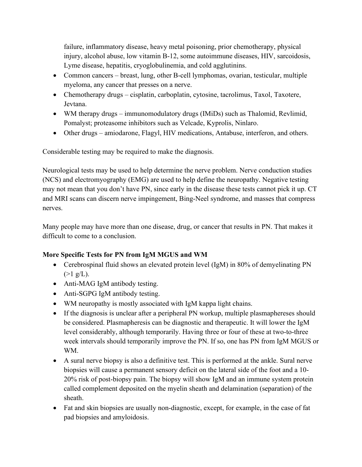failure, inflammatory disease, heavy metal poisoning, prior chemotherapy, physical injury, alcohol abuse, low vitamin B-12, some autoimmune diseases, HIV, sarcoidosis, Lyme disease, hepatitis, cryoglobulinemia, and cold agglutinins.

- Common cancers breast, lung, other B-cell lymphomas, ovarian, testicular, multiple myeloma, any cancer that presses on a nerve.
- Chemotherapy drugs cisplatin, carboplatin, cytosine, tacrolimus, Taxol, Taxotere, Jevtana.
- WM therapy drugs immunomodulatory drugs (IMiDs) such as Thalomid, Revlimid, Pomalyst; proteasome inhibitors such as Velcade, Kyprolis, Ninlaro.
- Other drugs amiodarone, Flagyl, HIV medications, Antabuse, interferon, and others.

Considerable testing may be required to make the diagnosis.

Neurological tests may be used to help determine the nerve problem. Nerve conduction studies (NCS) and electromyography (EMG) are used to help define the neuropathy. Negative testing may not mean that you don't have PN, since early in the disease these tests cannot pick it up. CT and MRI scans can discern nerve impingement, Bing-Neel syndrome, and masses that compress nerves.

Many people may have more than one disease, drug, or cancer that results in PN. That makes it difficult to come to a conclusion.

## **More Specific Tests for PN from IgM MGUS and WM**

- Cerebrospinal fluid shows an elevated protein level (IgM) in 80% of demyelinating PN  $(>1 \text{ g/L}).$
- Anti-MAG IgM antibody testing.
- Anti-SGPG IgM antibody testing.
- WM neuropathy is mostly associated with IgM kappa light chains.
- If the diagnosis is unclear after a peripheral PN workup, multiple plasmaphereses should be considered. Plasmapheresis can be diagnostic and therapeutic. It will lower the IgM level considerably, although temporarily. Having three or four of these at two-to-three week intervals should temporarily improve the PN. If so, one has PN from IgM MGUS or WM.
- A sural nerve biopsy is also a definitive test. This is performed at the ankle. Sural nerve biopsies will cause a permanent sensory deficit on the lateral side of the foot and a 10- 20% risk of post‐biopsy pain. The biopsy will show IgM and an immune system protein called complement deposited on the myelin sheath and delamination (separation) of the sheath.
- Fat and skin biopsies are usually non-diagnostic, except, for example, in the case of fat pad biopsies and amyloidosis.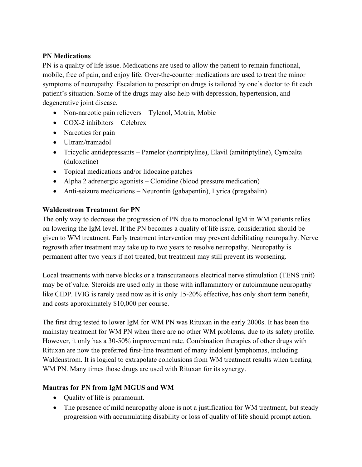#### **PN Medications**

PN is a quality of life issue. Medications are used to allow the patient to remain functional, mobile, free of pain, and enjoy life. Over-the-counter medications are used to treat the minor symptoms of neuropathy. Escalation to prescription drugs is tailored by one's doctor to fit each patient's situation. Some of the drugs may also help with depression, hypertension, and degenerative joint disease.

- Non-narcotic pain relievers Tylenol, Motrin, Mobic
- COX-2 inhibitors Celebrex
- Narcotics for pain
- Ultram/tramadol
- Tricyclic antidepressants Pamelor (nortriptyline), Elavil (amitriptyline), Cymbalta (duloxetine)
- Topical medications and/or lidocaine patches
- Alpha 2 adrenergic agonists Clonidine (blood pressure medication)
- Anti-seizure medications Neurontin (gabapentin), Lyrica (pregabalin)

## **Waldenstrom Treatment for PN**

The only way to decrease the progression of PN due to monoclonal IgM in WM patients relies on lowering the IgM level. If the PN becomes a quality of life issue, consideration should be given to WM treatment. Early treatment intervention may prevent debilitating neuropathy. Nerve regrowth after treatment may take up to two years to resolve neuropathy. Neuropathy is permanent after two years if not treated, but treatment may still prevent its worsening.

Local treatments with nerve blocks or a transcutaneous electrical nerve stimulation (TENS unit) may be of value. Steroids are used only in those with inflammatory or autoimmune neuropathy like CIDP. IVIG is rarely used now as it is only 15-20% effective, has only short term benefit, and costs approximately \$10,000 per course.

The first drug tested to lower IgM for WM PN was Rituxan in the early 2000s. It has been the mainstay treatment for WM PN when there are no other WM problems, due to its safety profile. However, it only has a 30-50% improvement rate. Combination therapies of other drugs with Rituxan are now the preferred first-line treatment of many indolent lymphomas, including Waldenstrom. It is logical to extrapolate conclusions from WM treatment results when treating WM PN. Many times those drugs are used with Rituxan for its synergy.

## **Mantras for PN from IgM MGUS and WM**

- Quality of life is paramount.
- The presence of mild neuropathy alone is not a justification for WM treatment, but steady progression with accumulating disability or loss of quality of life should prompt action.